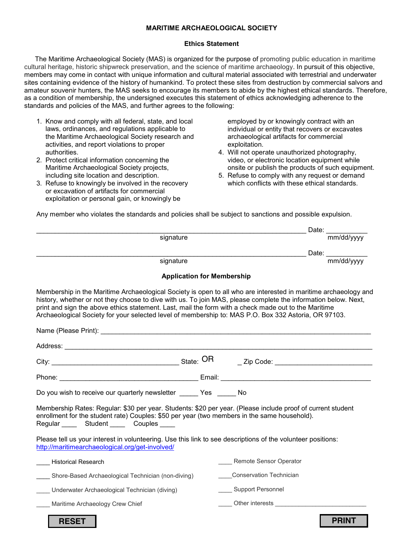### **MARITIME ARCHAEOLOGICAL SOCIETY**

#### **Ethics Statement**

The Maritime Archaeological Society (MAS) is organized for the purpose of promoting public education in maritime cultural heritage, historic shipwreck preservation, and the science of maritime archaeology. In pursuit of this objective, members may come in contact with unique information and cultural material associated with terrestrial and underwater sites containing evidence of the history of humankind. To protect these sites from destruction by commercial salvors and amateur souvenir hunters, the MAS seeks to encourage its members to abide by the highest ethical standards. Therefore, as a condition of membership, the undersigned executes this statement of ethics acknowledging adherence to the standards and policies of the MAS, and further agrees to the following:

- 1. Know and comply with all federal, state, and local laws, ordinances, and regulations applicable to the Maritime Archaeological Society research and activities, and report violations to proper authorities.
- 2. Protect critical information concerning the Maritime Archaeological Society projects, including site location and description.
- 3. Refuse to knowingly be involved in the recovery or excavation of artifacts for commercial exploitation or personal gain, or knowingly be

employed by or knowingly contract with an individual or entity that recovers or excavates archaeological artifacts for commercial exploitation.

- 4. Will not operate unauthorized photography, video, or electronic location equipment while onsite or publish the products of such equipment.
- 5. Refuse to comply with any request or demand which conflicts with these ethical standards.

Any member who violates the standards and policies shall be subject to sanctions and possible expulsion.

| signature | Date: | mm/dd/yyyy |
|-----------|-------|------------|
|           | Date: |            |
| signature |       | mm/dd/yyyy |

#### **Application for Membership**

Membership in the Maritime Archaeological Society is open to all who are interested in maritime archaeology and history, whether or not they choose to dive with us. To join MAS, please complete the information below. Next, print and sign the above ethics statement. Last, mail the form with a check made out to the Maritime Archaeological Society for your selected level of membership to: MAS P.O. Box 332 Astoria, OR 97103.

|                                                                                                                                                                                                                                                                         | State: OR                                                                                                                                                                                                                      |  |  |  |
|-------------------------------------------------------------------------------------------------------------------------------------------------------------------------------------------------------------------------------------------------------------------------|--------------------------------------------------------------------------------------------------------------------------------------------------------------------------------------------------------------------------------|--|--|--|
|                                                                                                                                                                                                                                                                         | Email:<br><u> 1989 - Johann Barbara, martxa alemaniar a</u>                                                                                                                                                                    |  |  |  |
| Do you wish to receive our quarterly newsletter $\bigcup$ Yes                                                                                                                                                                                                           |                                                                                                                                                                                                                                |  |  |  |
| Membership Rates: Regular: \$30 per year. Students: \$20 per year. (Please include proof of current student<br>enrollment for the student rate) Couples: \$50 per year (two members in the same household).<br>Regular $\bigcirc$ Student $\bigcirc$ Couples $\bigcirc$ |                                                                                                                                                                                                                                |  |  |  |
| Please tell us your interest in volunteering. Use this link to see descriptions of the volunteer positions:<br>http://maritimearchaeological.org/get-involved/                                                                                                          |                                                                                                                                                                                                                                |  |  |  |
| <b>Historical Research</b>                                                                                                                                                                                                                                              | Remote Sensor Operator                                                                                                                                                                                                         |  |  |  |
| Shore-Based Archaeological Technician (non-diving)                                                                                                                                                                                                                      | <b>Conservation Technician</b>                                                                                                                                                                                                 |  |  |  |
| Support Personnel<br>Underwater Archaeological Technician (diving)                                                                                                                                                                                                      |                                                                                                                                                                                                                                |  |  |  |
| Maritime Archaeology Crew Chief                                                                                                                                                                                                                                         | Other interests and the state of the state of the state of the state of the state of the state of the state of the state of the state of the state of the state of the state of the state of the state of the state of the sta |  |  |  |
| <b>RESET</b>                                                                                                                                                                                                                                                            | <b>PRIN</b>                                                                                                                                                                                                                    |  |  |  |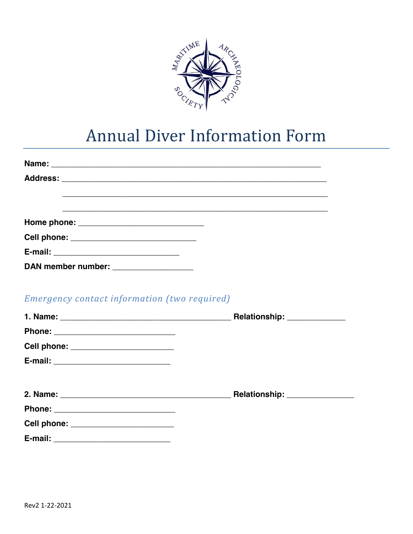

# **Annual Diver Information Form**

|                                              | <u> 1980 - Johann Stoff, amerikansk politik (* 1900)</u> |
|----------------------------------------------|----------------------------------------------------------|
|                                              |                                                          |
|                                              |                                                          |
|                                              |                                                          |
| DAN member number: __________________        |                                                          |
|                                              |                                                          |
| Emergency contact information (two required) |                                                          |
|                                              |                                                          |
|                                              |                                                          |
| Cell phone: ________________________         |                                                          |
|                                              |                                                          |
|                                              |                                                          |
|                                              |                                                          |
|                                              |                                                          |
| Cell phone: _________________________        |                                                          |
|                                              |                                                          |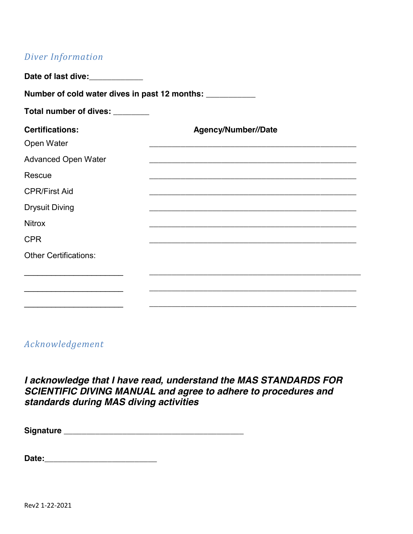# *Diver Information*

| Number of cold water dives in past 12 months: ___________ |                     |  |  |
|-----------------------------------------------------------|---------------------|--|--|
| Total number of dives: _______                            |                     |  |  |
| <b>Certifications:</b><br>Open Water                      | Agency/Number//Date |  |  |
| <b>Advanced Open Water</b>                                |                     |  |  |
| Rescue                                                    |                     |  |  |
| <b>CPR/First Aid</b>                                      |                     |  |  |
| <b>Drysuit Diving</b>                                     |                     |  |  |
| <b>Nitrox</b>                                             |                     |  |  |
| <b>CPR</b>                                                |                     |  |  |
| <b>Other Certifications:</b>                              |                     |  |  |
|                                                           |                     |  |  |

# *Acknowledgement*

*I acknowledge that I have read, understand the MAS STANDARDS FOR SCIENTIFIC DIVING MANUAL and agree to adhere to procedures and standards during MAS diving activities*

| <b>Signature</b> |  |
|------------------|--|
|                  |  |

**Date:\_\_\_\_\_\_\_\_\_\_\_\_\_\_\_\_\_\_\_\_\_\_\_\_\_**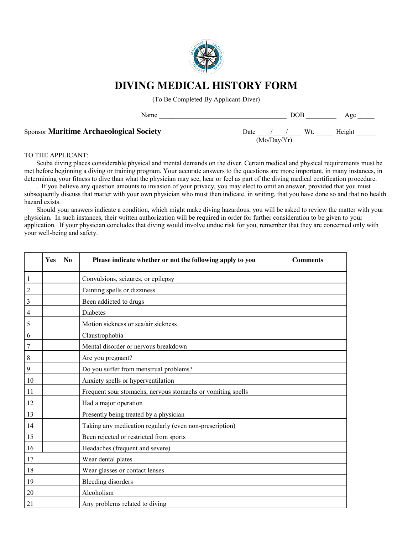

# **DIVING MEDICAL HISTORY FORM**

(To Be Completed By Applicant-Diver)

Sponsor **Maritime Archaeological Society** 

 (Mo/Day/Yr) Wt. Height

#### TO THE APPLICANT:

Scuba diving places considerable physical and mental demands on the diver. Certain medical and physical requirements must be met before beginning a diving or training program. Your accurate answers to the questions are more important, in many instances, in determining your fitness to dive than what the physician may see, hear or feel as part of the diving medical certification procedure.

. If you believe any question amounts to invasion of your privacy, you may elect to omit an answer, provided that you must subsequently discuss that matter with your own physician who must then indicate, in writing, that you have done so and that no health hazard exists.

Should your answers indicate a condition, which might make diving hazardous, you will be asked to review the matter with your physician. In such instances, their written authorization will be required in order for further consideration to be given to your application. If your physician concludes that diving would involve undue risk for you, remember that they are concerned only with your well-being and safety.

|    | Yes | N <sub>0</sub> | Please indicate whether or not the following apply to you   | <b>Comments</b> |
|----|-----|----------------|-------------------------------------------------------------|-----------------|
| 1  |     |                | Convulsions, seizures, or epilepsy                          |                 |
| 2  |     |                | Fainting spells or dizziness                                |                 |
| 3  |     |                | Been addicted to drugs                                      |                 |
| 4  |     |                | Diabetes                                                    |                 |
| 5  |     |                | Motion sickness or sea/air sickness                         |                 |
| 6  |     |                | Claustrophobia                                              |                 |
| 7  |     |                | Mental disorder or nervous breakdown                        |                 |
| 8  |     |                | Are you pregnant?                                           |                 |
| 9  |     |                | Do you suffer from menstrual problems?                      |                 |
| 10 |     |                | Anxiety spells or hyperventilation                          |                 |
| 11 |     |                | Frequent sour stomachs, nervous stomachs or vomiting spells |                 |
| 12 |     |                | Had a major operation                                       |                 |
| 13 |     |                | Presently being treated by a physician                      |                 |
| 14 |     |                | Taking any medication regularly (even non-prescription)     |                 |
| 15 |     |                | Been rejected or restricted from sports                     |                 |
| 16 |     |                | Headaches (frequent and severe)                             |                 |
| 17 |     |                | Wear dental plates                                          |                 |
| 18 |     |                | Wear glasses or contact lenses                              |                 |
| 19 |     |                | <b>Bleeding disorders</b>                                   |                 |
| 20 |     |                | Alcoholism                                                  |                 |
| 21 |     |                | Any problems related to diving                              |                 |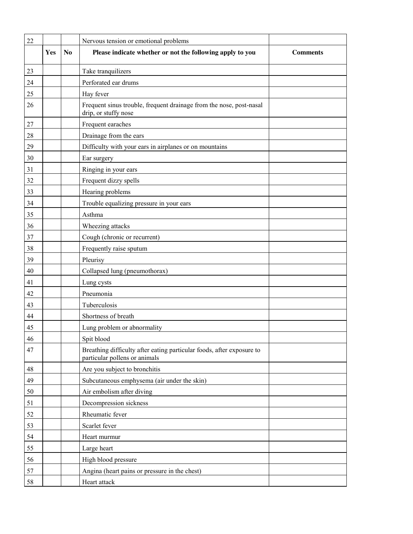| 22     |     |    | Nervous tension or emotional problems                                                                  |                 |
|--------|-----|----|--------------------------------------------------------------------------------------------------------|-----------------|
|        | Yes | No | Please indicate whether or not the following apply to you                                              | <b>Comments</b> |
| 23     |     |    | Take tranquilizers                                                                                     |                 |
| 24     |     |    | Perforated ear drums                                                                                   |                 |
| 25     |     |    | Hay fever                                                                                              |                 |
| 26     |     |    | Frequent sinus trouble, frequent drainage from the nose, post-nasal<br>drip, or stuffy nose            |                 |
| $27\,$ |     |    | Frequent earaches                                                                                      |                 |
| 28     |     |    | Drainage from the ears                                                                                 |                 |
| 29     |     |    | Difficulty with your ears in airplanes or on mountains                                                 |                 |
| 30     |     |    | Ear surgery                                                                                            |                 |
| 31     |     |    | Ringing in your ears                                                                                   |                 |
| 32     |     |    | Frequent dizzy spells                                                                                  |                 |
| 33     |     |    | Hearing problems                                                                                       |                 |
| 34     |     |    | Trouble equalizing pressure in your ears                                                               |                 |
| 35     |     |    | Asthma                                                                                                 |                 |
| 36     |     |    | Wheezing attacks                                                                                       |                 |
| 37     |     |    | Cough (chronic or recurrent)                                                                           |                 |
| 38     |     |    | Frequently raise sputum                                                                                |                 |
| 39     |     |    | Pleurisy                                                                                               |                 |
| 40     |     |    | Collapsed lung (pneumothorax)                                                                          |                 |
| 41     |     |    | Lung cysts                                                                                             |                 |
| 42     |     |    | Pneumonia                                                                                              |                 |
| 43     |     |    | Tuberculosis                                                                                           |                 |
| 44     |     |    | Shortness of breath                                                                                    |                 |
| 45     |     |    | Lung problem or abnormality                                                                            |                 |
| 46     |     |    | Spit blood                                                                                             |                 |
| 47     |     |    | Breathing difficulty after eating particular foods, after exposure to<br>particular pollens or animals |                 |
| 48     |     |    | Are you subject to bronchitis                                                                          |                 |
| 49     |     |    | Subcutaneous emphysema (air under the skin)                                                            |                 |
| 50     |     |    | Air embolism after diving                                                                              |                 |
| 51     |     |    | Decompression sickness                                                                                 |                 |
| 52     |     |    | Rheumatic fever                                                                                        |                 |
| 53     |     |    | Scarlet fever                                                                                          |                 |
| 54     |     |    | Heart murmur                                                                                           |                 |
| 55     |     |    | Large heart                                                                                            |                 |
| 56     |     |    | High blood pressure                                                                                    |                 |
| 57     |     |    | Angina (heart pains or pressure in the chest)                                                          |                 |
| 58     |     |    | Heart attack                                                                                           |                 |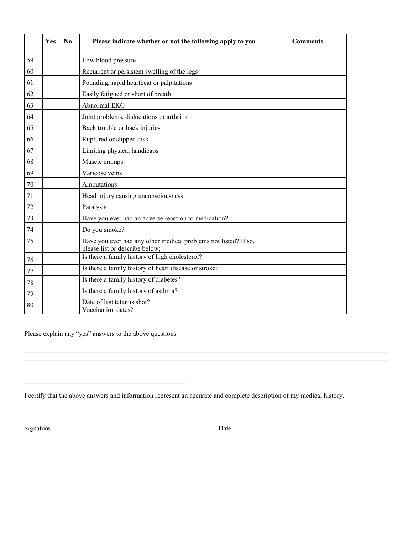|    | Yes | N <sub>o</sub> | Please indicate whether or not the following apply to you                                         | <b>Comments</b> |
|----|-----|----------------|---------------------------------------------------------------------------------------------------|-----------------|
| 59 |     |                | Low blood pressure                                                                                |                 |
| 60 |     |                | Recurrent or persistent swelling of the legs                                                      |                 |
| 61 |     |                | Pounding, rapid heartbeat or palpitations                                                         |                 |
| 62 |     |                | Easily fatigued or short of breath                                                                |                 |
| 63 |     |                | Abnormal EKG                                                                                      |                 |
| 64 |     |                | Joint problems, dislocations or arthritis                                                         |                 |
| 65 |     |                | Back trouble or back injuries                                                                     |                 |
| 66 |     |                | Ruptured or slipped disk                                                                          |                 |
| 67 |     |                | Limiting physical handicaps                                                                       |                 |
| 68 |     |                | Muscle cramps                                                                                     |                 |
| 69 |     |                | Varicose veins                                                                                    |                 |
| 70 |     |                | Amputations                                                                                       |                 |
| 71 |     |                | Head injury causing unconsciousness                                                               |                 |
| 72 |     |                | Paralysis                                                                                         |                 |
| 73 |     |                | Have you ever had an adverse reaction to medication?                                              |                 |
| 74 |     |                | Do you smoke?                                                                                     |                 |
| 75 |     |                | Have you ever had any other medical problems not listed? If so,<br>please list or describe below; |                 |
| 76 |     |                | Is there a family history of high cholesterol?                                                    |                 |
| 77 |     |                | Is there a family history of heart disease or stroke?                                             |                 |
| 78 |     |                | Is there a family history of diabetes?                                                            |                 |
| 79 |     |                | Is there a family history of asthma?                                                              |                 |
| 80 |     |                | Date of last tetanus shot?<br>Vaccination dates?                                                  |                 |

Please explain any "yes" answers to the above questions.

 $\mathcal{L}_\text{max}$  and  $\mathcal{L}_\text{max}$  and  $\mathcal{L}_\text{max}$  and  $\mathcal{L}_\text{max}$  and  $\mathcal{L}_\text{max}$ 

I certify that the above answers and information represent an accurate and complete description of my medical history.

 $\mathcal{L}_\mathcal{L} = \{ \mathcal{L}_\mathcal{L} = \{ \mathcal{L}_\mathcal{L} = \{ \mathcal{L}_\mathcal{L} = \{ \mathcal{L}_\mathcal{L} = \{ \mathcal{L}_\mathcal{L} = \{ \mathcal{L}_\mathcal{L} = \{ \mathcal{L}_\mathcal{L} = \{ \mathcal{L}_\mathcal{L} = \{ \mathcal{L}_\mathcal{L} = \{ \mathcal{L}_\mathcal{L} = \{ \mathcal{L}_\mathcal{L} = \{ \mathcal{L}_\mathcal{L} = \{ \mathcal{L}_\mathcal{L} = \{ \mathcal{L}_\mathcal{$ 

 $\mathcal{L}_\text{max} = \mathcal{L}_\text{max} = \mathcal{L}_\text{max} = \mathcal{L}_\text{max} = \mathcal{L}_\text{max} = \mathcal{L}_\text{max} = \mathcal{L}_\text{max} = \mathcal{L}_\text{max} = \mathcal{L}_\text{max} = \mathcal{L}_\text{max} = \mathcal{L}_\text{max} = \mathcal{L}_\text{max} = \mathcal{L}_\text{max} = \mathcal{L}_\text{max} = \mathcal{L}_\text{max} = \mathcal{L}_\text{max} = \mathcal{L}_\text{max} = \mathcal{L}_\text{max} = \mathcal{$ 

Signature Date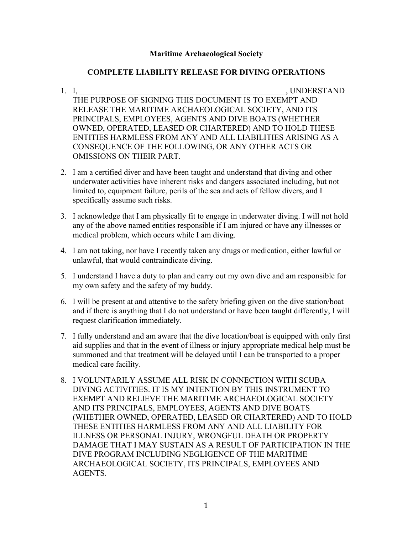### **Maritime Archaeological Society**

## **COMPLETE LIABILITY RELEASE FOR DIVING OPERATIONS**

- 1. I, the contract of the contract of the contract of the contract of the contract of the contract of the contract of the contract of the contract of the contract of the contract of the contract of the contract of the cont THE PURPOSE OF SIGNING THIS DOCUMENT IS TO EXEMPT AND RELEASE THE MARITIME ARCHAEOLOGICAL SOCIETY, AND ITS PRINCIPALS, EMPLOYEES, AGENTS AND DIVE BOATS (WHETHER OWNED, OPERATED, LEASED OR CHARTERED) AND TO HOLD THESE ENTITIES HARMLESS FROM ANY AND ALL LIABILITIES ARISING AS A CONSEQUENCE OF THE FOLLOWING, OR ANY OTHER ACTS OR OMISSIONS ON THEIR PART.
- 2. I am a certified diver and have been taught and understand that diving and other underwater activities have inherent risks and dangers associated including, but not limited to, equipment failure, perils of the sea and acts of fellow divers, and I specifically assume such risks.
- 3. I acknowledge that I am physically fit to engage in underwater diving. I will not hold any of the above named entities responsible if I am injured or have any illnesses or medical problem, which occurs while I am diving.
- 4. I am not taking, nor have I recently taken any drugs or medication, either lawful or unlawful, that would contraindicate diving.
- 5. I understand I have a duty to plan and carry out my own dive and am responsible for my own safety and the safety of my buddy.
- 6. I will be present at and attentive to the safety briefing given on the dive station/boat and if there is anything that I do not understand or have been taught differently, I will request clarification immediately.
- 7. I fully understand and am aware that the dive location/boat is equipped with only first aid supplies and that in the event of illness or injury appropriate medical help must be summoned and that treatment will be delayed until I can be transported to a proper medical care facility.
- 8. I VOLUNTARILY ASSUME ALL RISK IN CONNECTION WITH SCUBA DIVING ACTIVITIES. IT IS MY INTENTION BY THIS INSTRUMENT TO EXEMPT AND RELIEVE THE MARITIME ARCHAEOLOGICAL SOCIETY AND ITS PRINCIPALS, EMPLOYEES, AGENTS AND DIVE BOATS (WHETHER OWNED, OPERATED, LEASED OR CHARTERED) AND TO HOLD THESE ENTITIES HARMLESS FROM ANY AND ALL LIABILITY FOR ILLNESS OR PERSONAL INJURY, WRONGFUL DEATH OR PROPERTY DAMAGE THAT I MAY SUSTAIN AS A RESULT OF PARTICIPATION IN THE DIVE PROGRAM INCLUDING NEGLIGENCE OF THE MARITIME ARCHAEOLOGICAL SOCIETY, ITS PRINCIPALS, EMPLOYEES AND AGENTS.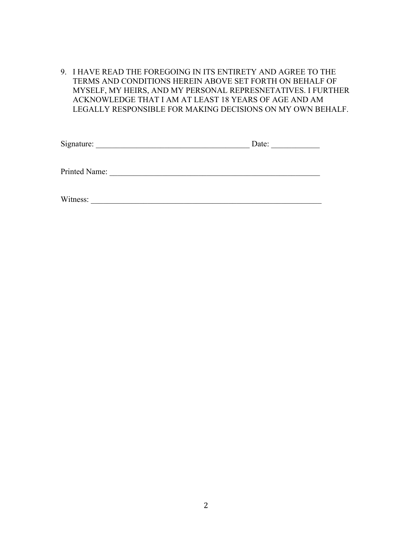9. I HAVE READ THE FOREGOING IN ITS ENTIRETY AND AGREE TO THE TERMS AND CONDITIONS HEREIN ABOVE SET FORTH ON BEHALF OF MYSELF, MY HEIRS, AND MY PERSONAL REPRESNETATIVES. I FURTHER ACKNOWLEDGE THAT I AM AT LEAST 18 YEARS OF AGE AND AM LEGALLY RESPONSIBLE FOR MAKING DECISIONS ON MY OWN BEHALF.

| Signature:    | Date: |
|---------------|-------|
|               |       |
| Printed Name: |       |
|               |       |
| Witness:      |       |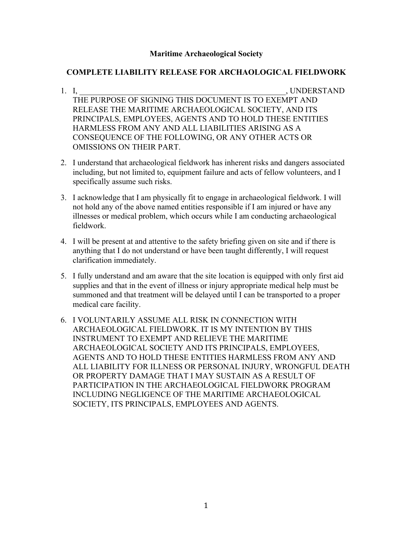### **Maritime Archaeological Society**

### **COMPLETE LIABILITY RELEASE FOR ARCHAOLOGICAL FIELDWORK**

- 1. I, the contract of the contract of the contract of the contract of the contract of the contract of the contract of the contract of the contract of the contract of the contract of the contract of the contract of the cont THE PURPOSE OF SIGNING THIS DOCUMENT IS TO EXEMPT AND RELEASE THE MARITIME ARCHAEOLOGICAL SOCIETY, AND ITS PRINCIPALS, EMPLOYEES, AGENTS AND TO HOLD THESE ENTITIES HARMLESS FROM ANY AND ALL LIABILITIES ARISING AS A CONSEQUENCE OF THE FOLLOWING, OR ANY OTHER ACTS OR OMISSIONS ON THEIR PART.
- 2. I understand that archaeological fieldwork has inherent risks and dangers associated including, but not limited to, equipment failure and acts of fellow volunteers, and I specifically assume such risks.
- 3. I acknowledge that I am physically fit to engage in archaeological fieldwork. I will not hold any of the above named entities responsible if I am injured or have any illnesses or medical problem, which occurs while I am conducting archaeological fieldwork.
- 4. I will be present at and attentive to the safety briefing given on site and if there is anything that I do not understand or have been taught differently, I will request clarification immediately.
- 5. I fully understand and am aware that the site location is equipped with only first aid supplies and that in the event of illness or injury appropriate medical help must be summoned and that treatment will be delayed until I can be transported to a proper medical care facility.
- 6. I VOLUNTARILY ASSUME ALL RISK IN CONNECTION WITH ARCHAEOLOGICAL FIELDWORK. IT IS MY INTENTION BY THIS INSTRUMENT TO EXEMPT AND RELIEVE THE MARITIME ARCHAEOLOGICAL SOCIETY AND ITS PRINCIPALS, EMPLOYEES, AGENTS AND TO HOLD THESE ENTITIES HARMLESS FROM ANY AND ALL LIABILITY FOR ILLNESS OR PERSONAL INJURY, WRONGFUL DEATH OR PROPERTY DAMAGE THAT I MAY SUSTAIN AS A RESULT OF PARTICIPATION IN THE ARCHAEOLOGICAL FIELDWORK PROGRAM INCLUDING NEGLIGENCE OF THE MARITIME ARCHAEOLOGICAL SOCIETY, ITS PRINCIPALS, EMPLOYEES AND AGENTS.